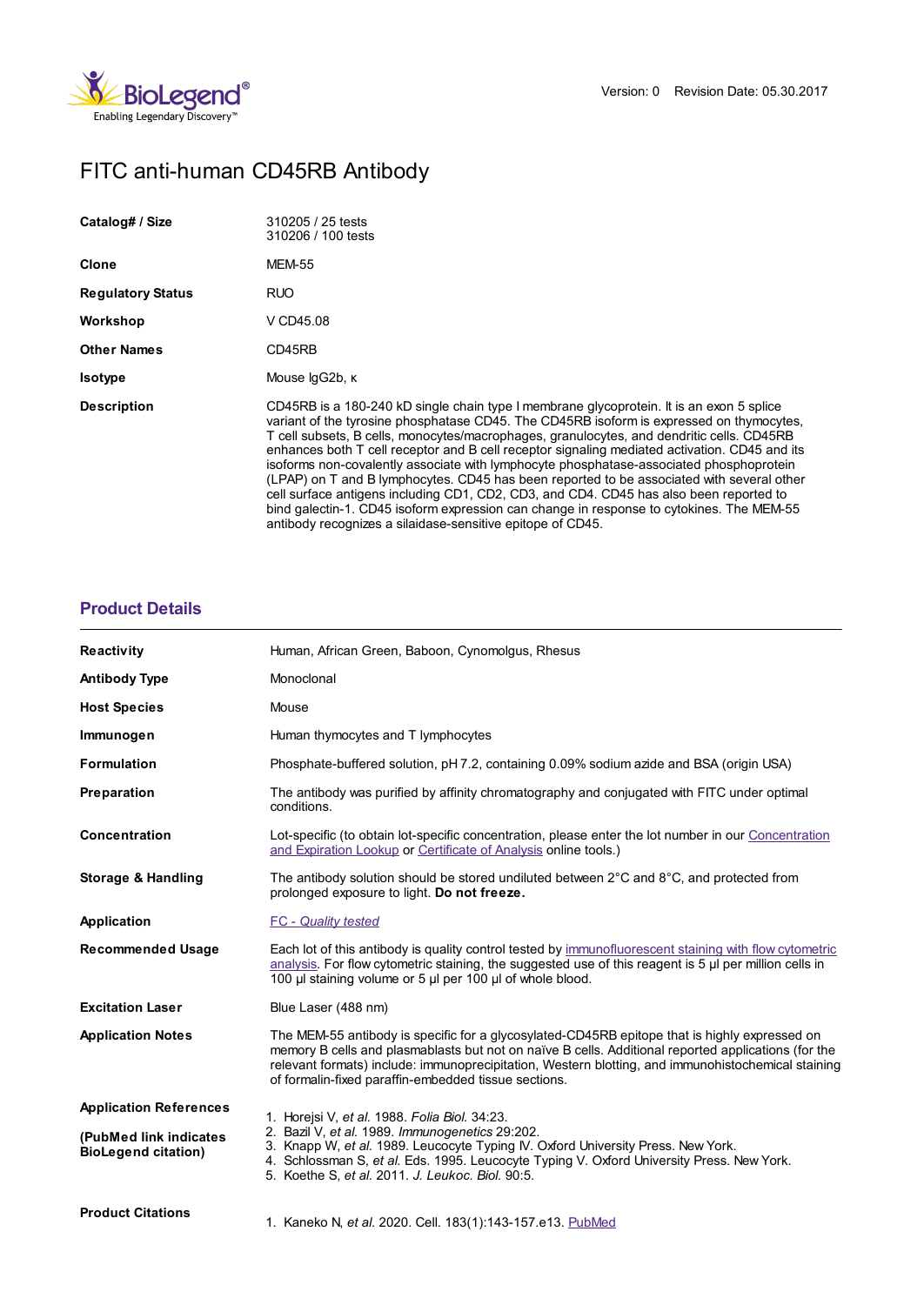

# FITC anti-human CD45RB Antibody

| Catalog# / Size          | 310205 / 25 tests<br>310206 / 100 tests                                                                                                                                                                                                                                                                                                                                                                                                                                                                                                                                                                                                                                                                                                                                                                                        |
|--------------------------|--------------------------------------------------------------------------------------------------------------------------------------------------------------------------------------------------------------------------------------------------------------------------------------------------------------------------------------------------------------------------------------------------------------------------------------------------------------------------------------------------------------------------------------------------------------------------------------------------------------------------------------------------------------------------------------------------------------------------------------------------------------------------------------------------------------------------------|
| <b>Clone</b>             | <b>MEM-55</b>                                                                                                                                                                                                                                                                                                                                                                                                                                                                                                                                                                                                                                                                                                                                                                                                                  |
| <b>Regulatory Status</b> | RUO                                                                                                                                                                                                                                                                                                                                                                                                                                                                                                                                                                                                                                                                                                                                                                                                                            |
| Workshop                 | V CD45.08                                                                                                                                                                                                                                                                                                                                                                                                                                                                                                                                                                                                                                                                                                                                                                                                                      |
| <b>Other Names</b>       | CD45RB                                                                                                                                                                                                                                                                                                                                                                                                                                                                                                                                                                                                                                                                                                                                                                                                                         |
| <b>Isotype</b>           | Mouse lgG2b, K                                                                                                                                                                                                                                                                                                                                                                                                                                                                                                                                                                                                                                                                                                                                                                                                                 |
| <b>Description</b>       | CD45RB is a 180-240 kD single chain type I membrane glycoprotein. It is an exon 5 splice<br>variant of the tyrosine phosphatase CD45. The CD45RB isoform is expressed on thymocytes,<br>T cell subsets, B cells, monocytes/macrophages, granulocytes, and dendritic cells. CD45RB<br>enhances both T cell receptor and B cell receptor signaling mediated activation. CD45 and its<br>isoforms non-covalently associate with lymphocyte phosphatase-associated phosphoprotein<br>(LPAP) on T and B lymphocytes. CD45 has been reported to be associated with several other<br>cell surface antigens including CD1, CD2, CD3, and CD4. CD45 has also been reported to<br>bind galectin-1. CD45 isoform expression can change in response to cytokines. The MEM-55<br>antibody recognizes a silaidase-sensitive epitope of CD45. |

## **[Product](https://www.biolegend.com/de-de/products/fitc-anti-human-cd45rb-antibody-14596?pdf=true&displayInline=true&leftRightMargin=15&topBottomMargin=15&filename=FITC anti-human CD45RB Antibody.pdf#productDetails) Details**

| <b>Reactivity</b>                                    | Human, African Green, Baboon, Cynomolgus, Rhesus                                                                                                                                                                                                                                                                                                                   |
|------------------------------------------------------|--------------------------------------------------------------------------------------------------------------------------------------------------------------------------------------------------------------------------------------------------------------------------------------------------------------------------------------------------------------------|
| <b>Antibody Type</b>                                 | Monoclonal                                                                                                                                                                                                                                                                                                                                                         |
| <b>Host Species</b>                                  | Mouse                                                                                                                                                                                                                                                                                                                                                              |
| Immunogen                                            | Human thymocytes and T lymphocytes                                                                                                                                                                                                                                                                                                                                 |
| <b>Formulation</b>                                   | Phosphate-buffered solution, pH 7.2, containing 0.09% sodium azide and BSA (origin USA)                                                                                                                                                                                                                                                                            |
| Preparation                                          | The antibody was purified by affinity chromatography and conjugated with FITC under optimal<br>conditions.                                                                                                                                                                                                                                                         |
| Concentration                                        | Lot-specific (to obtain lot-specific concentration, please enter the lot number in our Concentration<br>and Expiration Lookup or Certificate of Analysis online tools.)                                                                                                                                                                                            |
| <b>Storage &amp; Handling</b>                        | The antibody solution should be stored undiluted between $2^{\circ}$ C and $8^{\circ}$ C, and protected from<br>prolonged exposure to light. Do not freeze.                                                                                                                                                                                                        |
| Application                                          | <b>FC</b> - Quality tested                                                                                                                                                                                                                                                                                                                                         |
| <b>Recommended Usage</b>                             | Each lot of this antibody is quality control tested by immunofluorescent staining with flow cytometric<br>analysis. For flow cytometric staining, the suggested use of this reagent is 5 µl per million cells in<br>100 µl staining volume or 5 µl per 100 µl of whole blood.                                                                                      |
| <b>Excitation Laser</b>                              | Blue Laser (488 nm)                                                                                                                                                                                                                                                                                                                                                |
| <b>Application Notes</b>                             | The MEM-55 antibody is specific for a glycosylated-CD45RB epitope that is highly expressed on<br>memory B cells and plasmablasts but not on naïve B cells. Additional reported applications (for the<br>relevant formats) include: immunoprecipitation, Western blotting, and immunohistochemical staining<br>of formalin-fixed paraffin-embedded tissue sections. |
| <b>Application References</b>                        | 1. Horejsi V, et al. 1988. Folia Biol. 34:23.                                                                                                                                                                                                                                                                                                                      |
| (PubMed link indicates<br><b>BioLegend citation)</b> | 2. Bazil V, et al. 1989. Immunogenetics 29:202.<br>3. Knapp W, et al. 1989. Leucocyte Typing IV. Oxford University Press. New York.<br>4. Schlossman S, et al. Eds. 1995. Leucocyte Typing V. Oxford University Press. New York.<br>5. Koethe S, et al. 2011. J. Leukoc. Biol. 90:5.                                                                               |
| <b>Product Citations</b>                             | 1. Kaneko N, et al. 2020. Cell. 183(1):143-157.e13. PubMed                                                                                                                                                                                                                                                                                                         |